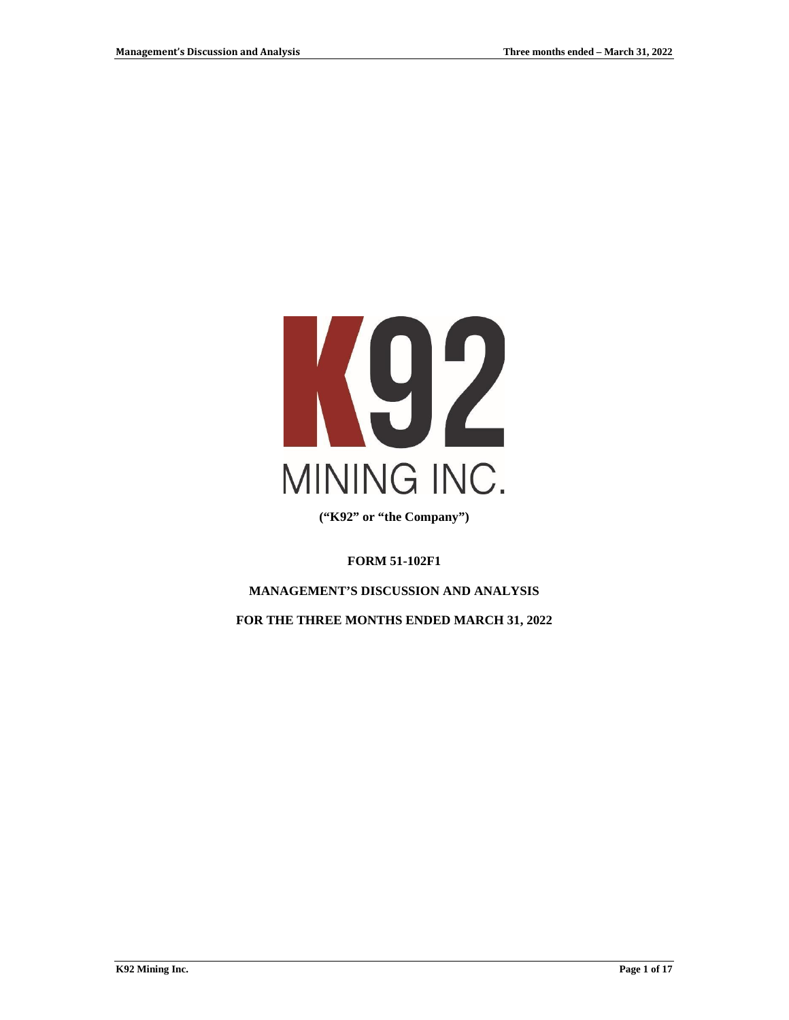

**("K92" or "the Company")**

**FORM 51-102F1**

**MANAGEMENT'S DISCUSSION AND ANALYSIS**

**FOR THE THREE MONTHS ENDED MARCH 31, 2022**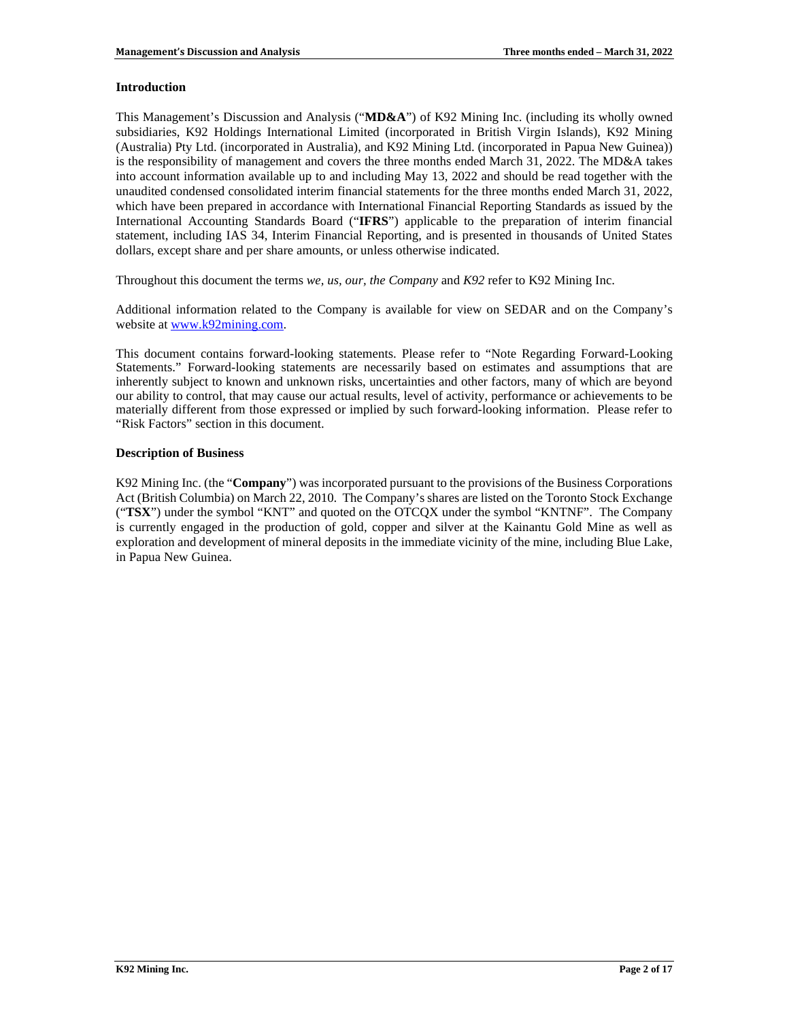### **Introduction**

This Management's Discussion and Analysis ("**MD&A**") of K92 Mining Inc. (including its wholly owned subsidiaries, K92 Holdings International Limited (incorporated in British Virgin Islands), K92 Mining (Australia) Pty Ltd. (incorporated in Australia), and K92 Mining Ltd. (incorporated in Papua New Guinea)) is the responsibility of management and covers the three months ended March 31, 2022. The MD&A takes into account information available up to and including May 13, 2022 and should be read together with the unaudited condensed consolidated interim financial statements for the three months ended March 31, 2022, which have been prepared in accordance with International Financial Reporting Standards as issued by the International Accounting Standards Board ("**IFRS**") applicable to the preparation of interim financial statement, including IAS 34, Interim Financial Reporting, and is presented in thousands of United States dollars, except share and per share amounts, or unless otherwise indicated.

Throughout this document the terms *we, us, our, the Company* and *K92* refer to K92 Mining Inc.

Additional information related to the Company is available for view on SEDAR and on the Company's website at [www.k92mining.com.](http://www.k92mining.com/)

This document contains forward-looking statements. Please refer to "Note Regarding Forward-Looking Statements." Forward-looking statements are necessarily based on estimates and assumptions that are inherently subject to known and unknown risks, uncertainties and other factors, many of which are beyond our ability to control, that may cause our actual results, level of activity, performance or achievements to be materially different from those expressed or implied by such forward-looking information. Please refer to "Risk Factors" section in this document.

## **Description of Business**

K92 Mining Inc. (the "**Company**") was incorporated pursuant to the provisions of the Business Corporations Act (British Columbia) on March 22, 2010. The Company's shares are listed on the Toronto Stock Exchange ("**TSX**") under the symbol "KNT" and quoted on the OTCQX under the symbol "KNTNF". The Company is currently engaged in the production of gold, copper and silver at the Kainantu Gold Mine as well as exploration and development of mineral deposits in the immediate vicinity of the mine, including Blue Lake, in Papua New Guinea.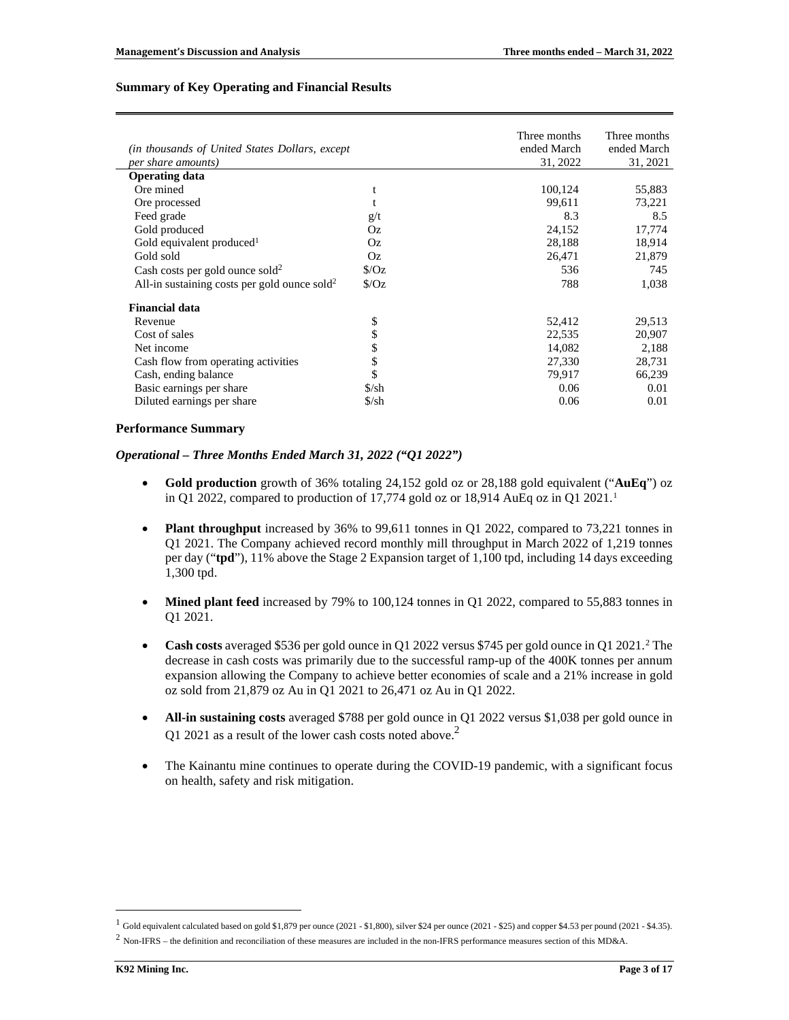### **Summary of Key Operating and Financial Results**

|                                                          |                              | Three months | Three months |
|----------------------------------------------------------|------------------------------|--------------|--------------|
| (in thousands of United States Dollars, except           |                              | ended March  | ended March  |
| per share amounts)                                       |                              | 31, 2022     | 31, 2021     |
| <b>Operating data</b>                                    |                              |              |              |
| Ore mined                                                | t                            | 100,124      | 55,883       |
| Ore processed                                            |                              | 99,611       | 73,221       |
| Feed grade                                               | g/t                          | 8.3          | 8.5          |
| Gold produced                                            | Oz                           | 24,152       | 17,774       |
| Gold equivalent produced <sup>1</sup>                    | Oz                           | 28,188       | 18,914       |
| Gold sold                                                | Oz                           | 26,471       | 21,879       |
| Cash costs per gold ounce sold <sup>2</sup>              | $\sqrt{$}$ /Oz               | 536          | 745          |
| All-in sustaining costs per gold ounce sold <sup>2</sup> | $\sqrt{$Oz}$                 | 788          | 1,038        |
| <b>Financial data</b>                                    |                              |              |              |
| Revenue                                                  | \$                           | 52,412       | 29,513       |
| Cost of sales                                            | \$                           | 22,535       | 20,907       |
| Net income                                               | \$                           | 14,082       | 2,188        |
| Cash flow from operating activities                      | \$                           | 27,330       | 28,731       |
| Cash, ending balance                                     | \$                           | 79,917       | 66,239       |
| Basic earnings per share                                 | $\frac{\text{S}}{\text{Sh}}$ | 0.06         | 0.01         |
| Diluted earnings per share                               | $S/\sh$                      | 0.06         | 0.01         |

#### **Performance Summary**

### *Operational – Three Months Ended March 31, 2022 ("Q1 2022")*

- <span id="page-2-0"></span>• **Gold production** growth of 36% totaling 24,152 gold oz or 28,188 gold equivalent ("**AuEq**") oz in Q[1](#page-2-2) 2022, compared to production of 17,774 gold oz or 18,914 AuEq oz in Q1 2021.<sup>1</sup>
- **Plant throughput** increased by 36% to 99,611 tonnes in Q1 2022, compared to 73,221 tonnes in Q1 2021. The Company achieved record monthly mill throughput in March 2022 of 1,219 tonnes per day ("**tpd**"), 11% above the Stage 2 Expansion target of 1,100 tpd, including 14 days exceeding 1,300 tpd.
- **Mined plant feed** increased by 79% to 100,124 tonnes in Q1 2022, compared to 55,883 tonnes in Q1 2021.
- <span id="page-2-1"></span>• Cash costs averaged \$536 per gold ounce in Q1 [2](#page-2-3)022 versus \$745 per gold ounce in Q1 2021.<sup>2</sup> The decrease in cash costs was primarily due to the successful ramp-up of the 400K tonnes per annum expansion allowing the Company to achieve better economies of scale and a 21% increase in gold oz sold from 21,879 oz Au in Q1 2021 to 26,471 oz Au in Q1 2022.
- **All-in sustaining costs** averaged \$788 per gold ounce in Q1 2022 versus \$1,038 per gold ounce in Q1 [2](#page-2-1)021 as a result of the lower cash costs noted above.<sup>2</sup>
- The Kainantu mine continues to operate during the COVID-19 pandemic, with a significant focus on health, safety and risk mitigation.

<span id="page-2-2"></span><sup>1</sup> Gold equivalent calculated based on gold \$1,879 per ounce (2021 - \$1,800), silver \$24 per ounce (2021 - \$25) and copper \$4.53 per pound (2021 - \$4.35).

<span id="page-2-3"></span><sup>2</sup> Non-IFRS – the definition and reconciliation of these measures are included in the non-IFRS performance measures section of this MD&A.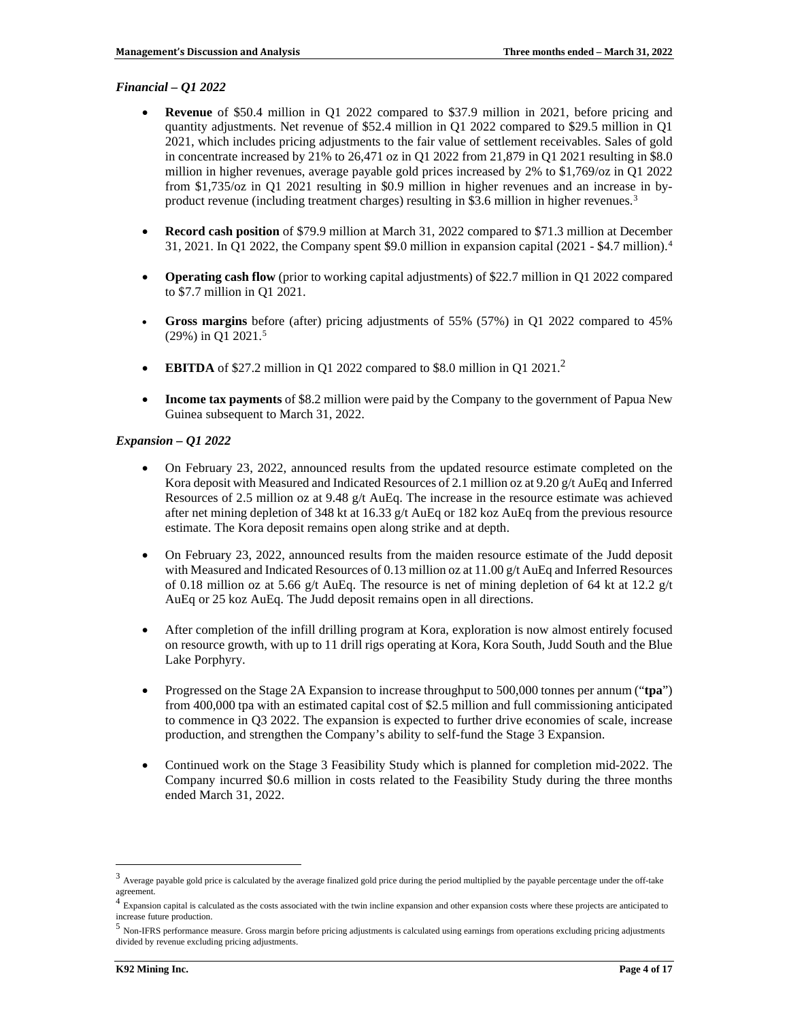### *Financial – Q1 2022*

- **Revenue** of \$50.4 million in Q1 2022 compared to \$37.9 million in 2021, before pricing and quantity adjustments. Net revenue of \$52.4 million in Q1 2022 compared to \$29.5 million in Q1 2021, which includes pricing adjustments to the fair value of settlement receivables. Sales of gold in concentrate increased by 21% to 26,471 oz in Q1 2022 from 21,879 in Q1 2021 resulting in \$8.0 million in higher revenues, average payable gold prices increased by 2% to \$1,769/oz in Q1 2022 from \$1,735/oz in Q1 2021 resulting in \$0.9 million in higher revenues and an increase in by-product revenue (including treatment charges) resulting in \$[3](#page-3-0).6 million in higher revenues.<sup>3</sup>
- **Record cash position** of \$79.9 million at March 31, 2022 compared to \$71.3 million at December 31, 2021. In Q1 2022, the Company spent \$9.0 million in expansion capital (2021 - \$4.7 million). [4](#page-3-1)
- **Operating cash flow** (prior to working capital adjustments) of \$22.7 million in Q1 2022 compared to \$7.7 million in Q1 2021.
- **Gross margins** before (after) pricing adjustments of 55% (57%) in Q1 2022 compared to 45% (29%) in Q1 2021. [5](#page-3-2)
- **EBITDA** of \$[2](#page-2-1)7.2 million in Q1 2022 compared to \$8.0 million in Q1 2021.<sup>2</sup>
- **Income tax payments** of \$8.2 million were paid by the Company to the government of Papua New Guinea subsequent to March 31, 2022.

### *Expansion – Q1 2022*

- On February 23, 2022, announced results from the updated resource estimate completed on the Kora deposit with Measured and Indicated Resources of 2.1 million oz at 9.20 g/t AuEq and Inferred Resources of 2.5 million oz at 9.48 g/t AuEq. The increase in the resource estimate was achieved after net mining depletion of 348 kt at 16.33 g/t AuEq or 182 koz AuEq from the previous resource estimate. The Kora deposit remains open along strike and at depth.
- On February 23, 2022, announced results from the maiden resource estimate of the Judd deposit with Measured and Indicated Resources of 0.13 million oz at 11.00 g/t AuEq and Inferred Resources of 0.18 million oz at 5.66 g/t AuEq. The resource is net of mining depletion of 64 kt at 12.2 g/t AuEq or 25 koz AuEq. The Judd deposit remains open in all directions.
- After completion of the infill drilling program at Kora, exploration is now almost entirely focused on resource growth, with up to 11 drill rigs operating at Kora, Kora South, Judd South and the Blue Lake Porphyry.
- Progressed on the Stage 2A Expansion to increase throughput to 500,000 tonnes per annum ("tpa") from 400,000 tpa with an estimated capital cost of \$2.5 million and full commissioning anticipated to commence in Q3 2022. The expansion is expected to further drive economies of scale, increase production, and strengthen the Company's ability to self-fund the Stage 3 Expansion.
- Continued work on the Stage 3 Feasibility Study which is planned for completion mid-2022. The Company incurred \$0.6 million in costs related to the Feasibility Study during the three months ended March 31, 2022.

<span id="page-3-0"></span><sup>3</sup> Average payable gold price is calculated by the average finalized gold price during the period multiplied by the payable percentage under the off-take agreement.

<span id="page-3-1"></span><sup>&</sup>lt;sup>4</sup> Expansion capital is calculated as the costs associated with the twin incline expansion and other expansion costs where these projects are anticipated to increase future production.

<span id="page-3-2"></span><sup>5</sup> Non-IFRS performance measure. Gross margin before pricing adjustments is calculated using earnings from operations excluding pricing adjustments divided by revenue excluding pricing adjustments.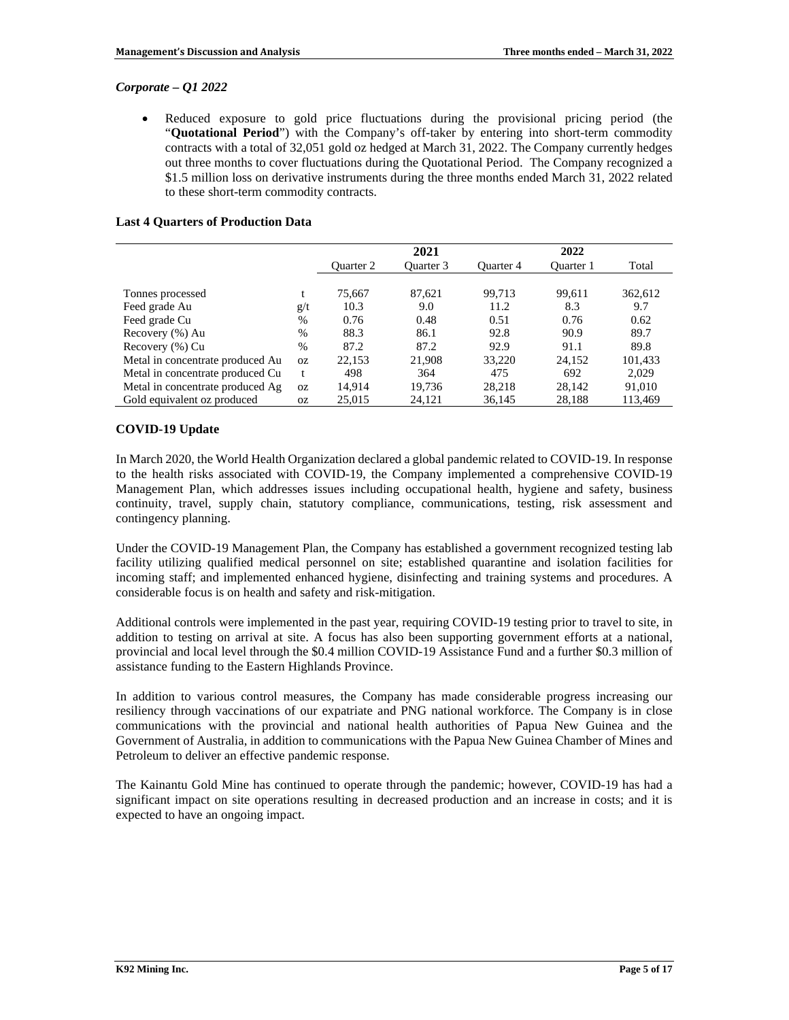## *Corporate – Q1 2022*

• Reduced exposure to gold price fluctuations during the provisional pricing period (the "**Quotational Period**") with the Company's off-taker by entering into short-term commodity contracts with a total of 32,051 gold oz hedged at March 31, 2022. The Company currently hedges out three months to cover fluctuations during the Quotational Period. The Company recognized a \$1.5 million loss on derivative instruments during the three months ended March 31, 2022 related to these short-term commodity contracts.

## **Last 4 Quarters of Production Data**

|                                  |               |                  | 2021      |           | 2022      |         |
|----------------------------------|---------------|------------------|-----------|-----------|-----------|---------|
|                                  |               | <b>Ouarter 2</b> | Ouarter 3 | Quarter 4 | Ouarter 1 | Total   |
|                                  |               |                  |           |           |           |         |
| Tonnes processed                 |               | 75,667           | 87,621    | 99,713    | 99,611    | 362,612 |
| Feed grade Au                    | g/t           | 10.3             | 9.0       | 11.2      | 8.3       | 9.7     |
| Feed grade Cu                    | $\%$          | 0.76             | 0.48      | 0.51      | 0.76      | 0.62    |
| Recovery (%) Au                  | $\frac{0}{0}$ | 88.3             | 86.1      | 92.8      | 90.9      | 89.7    |
| Recovery (%) Cu                  | $\frac{0}{0}$ | 87.2             | 87.2      | 92.9      | 91.1      | 89.8    |
| Metal in concentrate produced Au | 0Z            | 22,153           | 21,908    | 33,220    | 24,152    | 101,433 |
| Metal in concentrate produced Cu | t             | 498              | 364       | 475       | 692       | 2,029   |
| Metal in concentrate produced Ag | 0Z            | 14.914           | 19.736    | 28,218    | 28,142    | 91,010  |
| Gold equivalent oz produced      | 0Z            | 25,015           | 24,121    | 36,145    | 28,188    | 113,469 |

## **COVID-19 Update**

In March 2020, the World Health Organization declared a global pandemic related to COVID-19. In response to the health risks associated with COVID-19, the Company implemented a comprehensive COVID-19 Management Plan, which addresses issues including occupational health, hygiene and safety, business continuity, travel, supply chain, statutory compliance, communications, testing, risk assessment and contingency planning.

Under the COVID-19 Management Plan, the Company has established a government recognized testing lab facility utilizing qualified medical personnel on site; established quarantine and isolation facilities for incoming staff; and implemented enhanced hygiene, disinfecting and training systems and procedures. A considerable focus is on health and safety and risk-mitigation.

Additional controls were implemented in the past year, requiring COVID-19 testing prior to travel to site, in addition to testing on arrival at site. A focus has also been supporting government efforts at a national, provincial and local level through the \$0.4 million COVID-19 Assistance Fund and a further \$0.3 million of assistance funding to the Eastern Highlands Province.

In addition to various control measures, the Company has made considerable progress increasing our resiliency through vaccinations of our expatriate and PNG national workforce. The Company is in close communications with the provincial and national health authorities of Papua New Guinea and the Government of Australia, in addition to communications with the Papua New Guinea Chamber of Mines and Petroleum to deliver an effective pandemic response.

The Kainantu Gold Mine has continued to operate through the pandemic; however, COVID-19 has had a significant impact on site operations resulting in decreased production and an increase in costs; and it is expected to have an ongoing impact.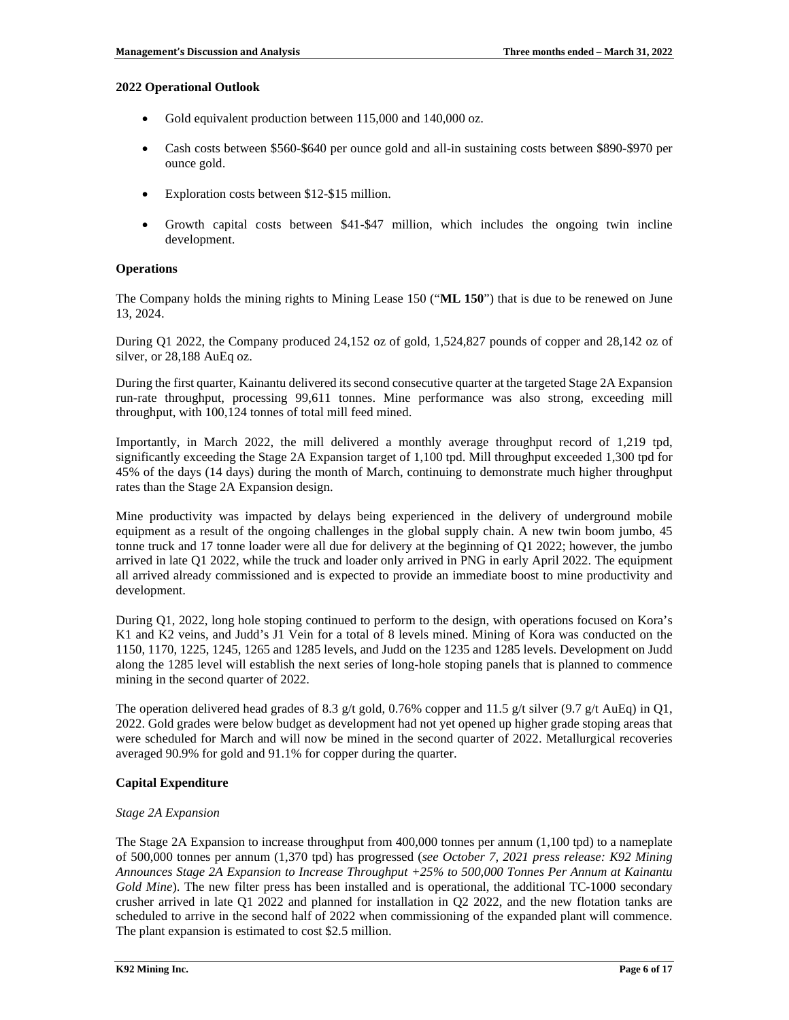### **2022 Operational Outlook**

- Gold equivalent production between 115,000 and 140,000 oz.
- Cash costs between \$560-\$640 per ounce gold and all-in sustaining costs between \$890-\$970 per ounce gold.
- Exploration costs between \$12-\$15 million.
- Growth capital costs between \$41-\$47 million, which includes the ongoing twin incline development.

## **Operations**

The Company holds the mining rights to Mining Lease 150 ("**ML 150**") that is due to be renewed on June 13, 2024.

During Q1 2022, the Company produced 24,152 oz of gold, 1,524,827 pounds of copper and 28,142 oz of silver, or 28,188 AuEq oz.

During the first quarter, Kainantu delivered its second consecutive quarter at the targeted Stage 2A Expansion run-rate throughput, processing 99,611 tonnes. Mine performance was also strong, exceeding mill throughput, with 100,124 tonnes of total mill feed mined.

Importantly, in March 2022, the mill delivered a monthly average throughput record of 1,219 tpd, significantly exceeding the Stage 2A Expansion target of 1,100 tpd. Mill throughput exceeded 1,300 tpd for 45% of the days (14 days) during the month of March, continuing to demonstrate much higher throughput rates than the Stage 2A Expansion design.

Mine productivity was impacted by delays being experienced in the delivery of underground mobile equipment as a result of the ongoing challenges in the global supply chain. A new twin boom jumbo, 45 tonne truck and 17 tonne loader were all due for delivery at the beginning of Q1 2022; however, the jumbo arrived in late Q1 2022, while the truck and loader only arrived in PNG in early April 2022. The equipment all arrived already commissioned and is expected to provide an immediate boost to mine productivity and development.

During Q1, 2022, long hole stoping continued to perform to the design, with operations focused on Kora's K1 and K2 veins, and Judd's J1 Vein for a total of 8 levels mined. Mining of Kora was conducted on the 1150, 1170, 1225, 1245, 1265 and 1285 levels, and Judd on the 1235 and 1285 levels. Development on Judd along the 1285 level will establish the next series of long-hole stoping panels that is planned to commence mining in the second quarter of 2022.

The operation delivered head grades of 8.3 g/t gold, 0.76% copper and 11.5 g/t silver (9.7 g/t AuEq) in Q1, 2022. Gold grades were below budget as development had not yet opened up higher grade stoping areas that were scheduled for March and will now be mined in the second quarter of 2022. Metallurgical recoveries averaged 90.9% for gold and 91.1% for copper during the quarter.

# **Capital Expenditure**

### *Stage 2A Expansion*

The Stage 2A Expansion to increase throughput from 400,000 tonnes per annum (1,100 tpd) to a nameplate of 500,000 tonnes per annum (1,370 tpd) has progressed (*see October 7, 2021 press release: K92 Mining Announces Stage 2A Expansion to Increase Throughput +25% to 500,000 Tonnes Per Annum at Kainantu Gold Mine*). The new filter press has been installed and is operational, the additional TC-1000 secondary crusher arrived in late Q1 2022 and planned for installation in Q2 2022, and the new flotation tanks are scheduled to arrive in the second half of 2022 when commissioning of the expanded plant will commence. The plant expansion is estimated to cost \$2.5 million.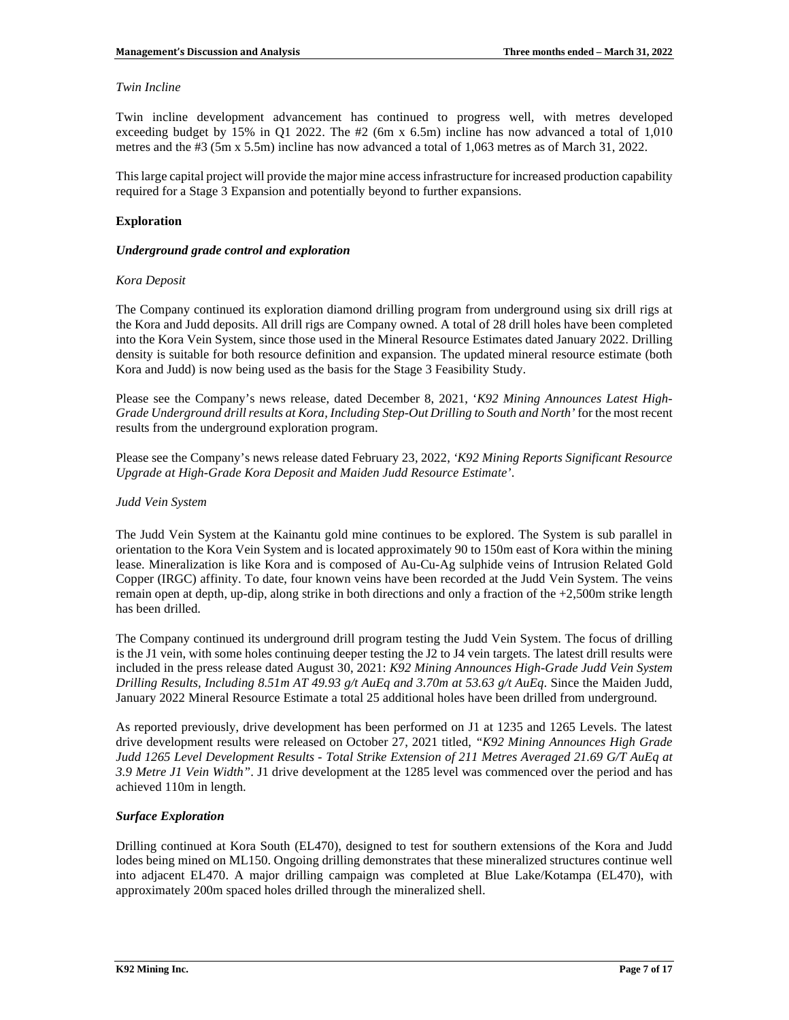### *Twin Incline*

Twin incline development advancement has continued to progress well, with metres developed exceeding budget by 15% in Q1 2022. The  $#2$  (6m x 6.5m) incline has now advanced a total of 1,010 metres and the #3 (5m x 5.5m) incline has now advanced a total of 1,063 metres as of March 31, 2022.

This large capital project will provide the major mine access infrastructure for increased production capability required for a Stage 3 Expansion and potentially beyond to further expansions.

## **Exploration**

### *Underground grade control and exploration*

## *Kora Deposit*

The Company continued its exploration diamond drilling program from underground using six drill rigs at the Kora and Judd deposits. All drill rigs are Company owned. A total of 28 drill holes have been completed into the Kora Vein System, since those used in the Mineral Resource Estimates dated January 2022. Drilling density is suitable for both resource definition and expansion. The updated mineral resource estimate (both Kora and Judd) is now being used as the basis for the Stage 3 Feasibility Study.

Please see the Company's news release, dated December 8, 2021, '*K92 Mining Announces Latest High-Grade Underground drill results at Kora, Including Step-Out Drilling to South and North'* for the most recent results from the underground exploration program.

Please see the Company's news release dated February 23, 2022, *'K92 Mining Reports Significant Resource Upgrade at High-Grade Kora Deposit and Maiden Judd Resource Estimate'*.

### *Judd Vein System*

The Judd Vein System at the Kainantu gold mine continues to be explored. The System is sub parallel in orientation to the Kora Vein System and is located approximately 90 to 150m east of Kora within the mining lease. Mineralization is like Kora and is composed of Au-Cu-Ag sulphide veins of Intrusion Related Gold Copper (IRGC) affinity. To date, four known veins have been recorded at the Judd Vein System. The veins remain open at depth, up-dip, along strike in both directions and only a fraction of the +2,500m strike length has been drilled.

The Company continued its underground drill program testing the Judd Vein System. The focus of drilling is the J1 vein, with some holes continuing deeper testing the J2 to J4 vein targets. The latest drill results were included in the press release dated August 30, 2021: *K92 Mining Announces High-Grade Judd Vein System Drilling Results, Including 8.51m AT 49.93 g/t AuEq and 3.70m at 53.63 g/t AuEq*. Since the Maiden Judd, January 2022 Mineral Resource Estimate a total 25 additional holes have been drilled from underground.

As reported previously, drive development has been performed on J1 at 1235 and 1265 Levels. The latest drive development results were released on October 27, 2021 titled, *"K92 Mining Announces High Grade Judd 1265 Level Development Results - Total Strike Extension of 211 Metres Averaged 21.69 G/T AuEq at 3.9 Metre J1 Vein Width"*. J1 drive development at the 1285 level was commenced over the period and has achieved 110m in length.

### *Surface Exploration*

Drilling continued at Kora South (EL470), designed to test for southern extensions of the Kora and Judd lodes being mined on ML150. Ongoing drilling demonstrates that these mineralized structures continue well into adjacent EL470. A major drilling campaign was completed at Blue Lake/Kotampa (EL470), with approximately 200m spaced holes drilled through the mineralized shell.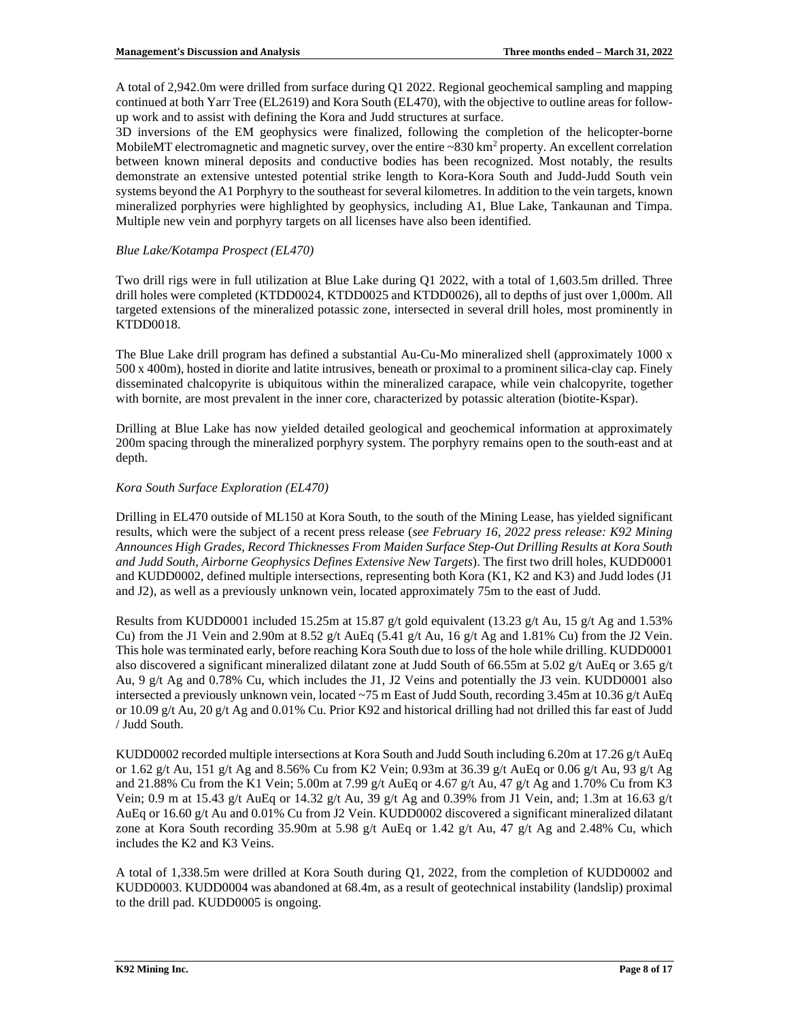A total of 2,942.0m were drilled from surface during Q1 2022. Regional geochemical sampling and mapping continued at both Yarr Tree (EL2619) and Kora South (EL470), with the objective to outline areas for followup work and to assist with defining the Kora and Judd structures at surface.

3D inversions of the EM geophysics were finalized, following the completion of the helicopter-borne MobileMT electromagnetic and magnetic survey, over the entire  $\sim 830 \text{ km}^2$  property. An excellent correlation between known mineral deposits and conductive bodies has been recognized. Most notably, the results demonstrate an extensive untested potential strike length to Kora-Kora South and Judd-Judd South vein systems beyond the A1 Porphyry to the southeast for several kilometres. In addition to the vein targets, known mineralized porphyries were highlighted by geophysics, including A1, Blue Lake, Tankaunan and Timpa. Multiple new vein and porphyry targets on all licenses have also been identified.

## *Blue Lake/Kotampa Prospect (EL470)*

Two drill rigs were in full utilization at Blue Lake during Q1 2022, with a total of 1,603.5m drilled. Three drill holes were completed (KTDD0024, KTDD0025 and KTDD0026), all to depths of just over 1,000m. All targeted extensions of the mineralized potassic zone, intersected in several drill holes, most prominently in KTDD0018.

The Blue Lake drill program has defined a substantial Au-Cu-Mo mineralized shell (approximately 1000 x 500 x 400m), hosted in diorite and latite intrusives, beneath or proximal to a prominent silica-clay cap. Finely disseminated chalcopyrite is ubiquitous within the mineralized carapace, while vein chalcopyrite, together with bornite, are most prevalent in the inner core, characterized by potassic alteration (biotite-Kspar).

Drilling at Blue Lake has now yielded detailed geological and geochemical information at approximately 200m spacing through the mineralized porphyry system. The porphyry remains open to the south-east and at depth.

## *Kora South Surface Exploration (EL470)*

Drilling in EL470 outside of ML150 at Kora South, to the south of the Mining Lease, has yielded significant results, which were the subject of a recent press release (*see February 16, 2022 press release: K92 Mining Announces High Grades, Record Thicknesses From Maiden Surface Step-Out Drilling Results at Kora South and Judd South, Airborne Geophysics Defines Extensive New Targets*). The first two drill holes, KUDD0001 and KUDD0002, defined multiple intersections, representing both Kora (K1, K2 and K3) and Judd lodes (J1 and J2), as well as a previously unknown vein, located approximately 75m to the east of Judd.

Results from KUDD0001 included 15.25m at 15.87 g/t gold equivalent (13.23 g/t Au, 15 g/t Ag and 1.53%) Cu) from the J1 Vein and 2.90m at 8.52 g/t AuEq (5.41 g/t Au, 16 g/t Ag and 1.81% Cu) from the J2 Vein. This hole was terminated early, before reaching Kora South due to loss of the hole while drilling. KUDD0001 also discovered a significant mineralized dilatant zone at Judd South of 66.55m at 5.02 g/t AuEq or 3.65 g/t Au, 9 g/t Ag and 0.78% Cu, which includes the J1, J2 Veins and potentially the J3 vein. KUDD0001 also intersected a previously unknown vein, located ~75 m East of Judd South, recording 3.45m at 10.36 g/t AuEq or 10.09 g/t Au, 20 g/t Ag and 0.01% Cu. Prior K92 and historical drilling had not drilled this far east of Judd / Judd South.

KUDD0002 recorded multiple intersections at Kora South and Judd South including 6.20m at 17.26 g/t AuEq or 1.62 g/t Au, 151 g/t Ag and 8.56% Cu from K2 Vein; 0.93m at 36.39 g/t AuEq or 0.06 g/t Au, 93 g/t Ag and 21.88% Cu from the K1 Vein; 5.00m at 7.99 g/t AuEq or 4.67 g/t Au, 47 g/t Ag and 1.70% Cu from K3 Vein; 0.9 m at 15.43 g/t AuEq or 14.32 g/t Au, 39 g/t Ag and 0.39% from J1 Vein, and; 1.3m at 16.63 g/t AuEq or 16.60 g/t Au and 0.01% Cu from J2 Vein. KUDD0002 discovered a significant mineralized dilatant zone at Kora South recording 35.90m at 5.98 g/t AuEq or 1.42 g/t Au, 47 g/t Ag and 2.48% Cu, which includes the K2 and K3 Veins.

A total of 1,338.5m were drilled at Kora South during Q1, 2022, from the completion of KUDD0002 and KUDD0003. KUDD0004 was abandoned at 68.4m, as a result of geotechnical instability (landslip) proximal to the drill pad. KUDD0005 is ongoing.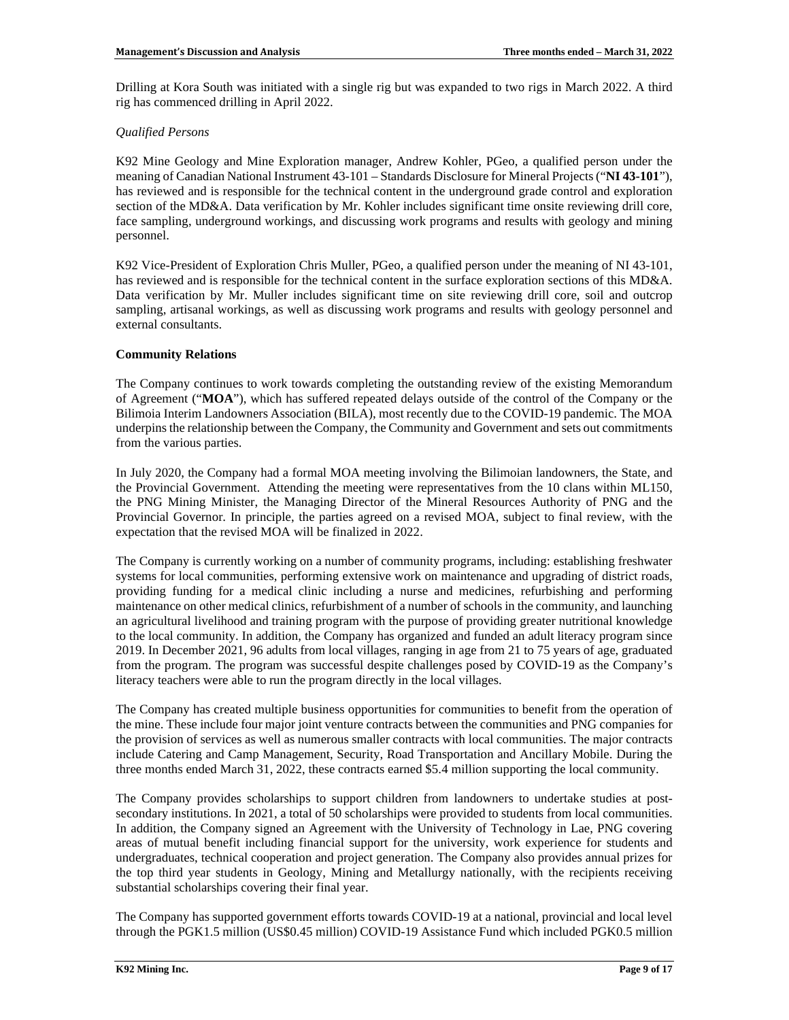Drilling at Kora South was initiated with a single rig but was expanded to two rigs in March 2022. A third rig has commenced drilling in April 2022.

## *Qualified Persons*

K92 Mine Geology and Mine Exploration manager, Andrew Kohler, PGeo, a qualified person under the meaning of Canadian National Instrument 43-101 – Standards Disclosure for Mineral Projects ("**NI 43-101**"), has reviewed and is responsible for the technical content in the underground grade control and exploration section of the MD&A. Data verification by Mr. Kohler includes significant time onsite reviewing drill core, face sampling, underground workings, and discussing work programs and results with geology and mining personnel.

K92 Vice-President of Exploration Chris Muller, PGeo, a qualified person under the meaning of NI 43-101, has reviewed and is responsible for the technical content in the surface exploration sections of this MD&A. Data verification by Mr. Muller includes significant time on site reviewing drill core, soil and outcrop sampling, artisanal workings, as well as discussing work programs and results with geology personnel and external consultants.

# **Community Relations**

The Company continues to work towards completing the outstanding review of the existing Memorandum of Agreement ("**MOA**"), which has suffered repeated delays outside of the control of the Company or the Bilimoia Interim Landowners Association (BILA), most recently due to the COVID-19 pandemic. The MOA underpins the relationship between the Company, the Community and Government and sets out commitments from the various parties.

In July 2020, the Company had a formal MOA meeting involving the Bilimoian landowners, the State, and the Provincial Government. Attending the meeting were representatives from the 10 clans within ML150, the PNG Mining Minister, the Managing Director of the Mineral Resources Authority of PNG and the Provincial Governor. In principle, the parties agreed on a revised MOA, subject to final review, with the expectation that the revised MOA will be finalized in 2022.

The Company is currently working on a number of community programs, including: establishing freshwater systems for local communities, performing extensive work on maintenance and upgrading of district roads, providing funding for a medical clinic including a nurse and medicines, refurbishing and performing maintenance on other medical clinics, refurbishment of a number of schools in the community, and launching an agricultural livelihood and training program with the purpose of providing greater nutritional knowledge to the local community. In addition, the Company has organized and funded an adult literacy program since 2019. In December 2021, 96 adults from local villages, ranging in age from 21 to 75 years of age, graduated from the program. The program was successful despite challenges posed by COVID-19 as the Company's literacy teachers were able to run the program directly in the local villages.

The Company has created multiple business opportunities for communities to benefit from the operation of the mine. These include four major joint venture contracts between the communities and PNG companies for the provision of services as well as numerous smaller contracts with local communities. The major contracts include Catering and Camp Management, Security, Road Transportation and Ancillary Mobile. During the three months ended March 31, 2022, these contracts earned \$5.4 million supporting the local community.

The Company provides scholarships to support children from landowners to undertake studies at postsecondary institutions. In 2021, a total of 50 scholarships were provided to students from local communities. In addition, the Company signed an Agreement with the University of Technology in Lae, PNG covering areas of mutual benefit including financial support for the university, work experience for students and undergraduates, technical cooperation and project generation. The Company also provides annual prizes for the top third year students in Geology, Mining and Metallurgy nationally, with the recipients receiving substantial scholarships covering their final year.

The Company has supported government efforts towards COVID-19 at a national, provincial and local level through the PGK1.5 million (US\$0.45 million) COVID-19 Assistance Fund which included PGK0.5 million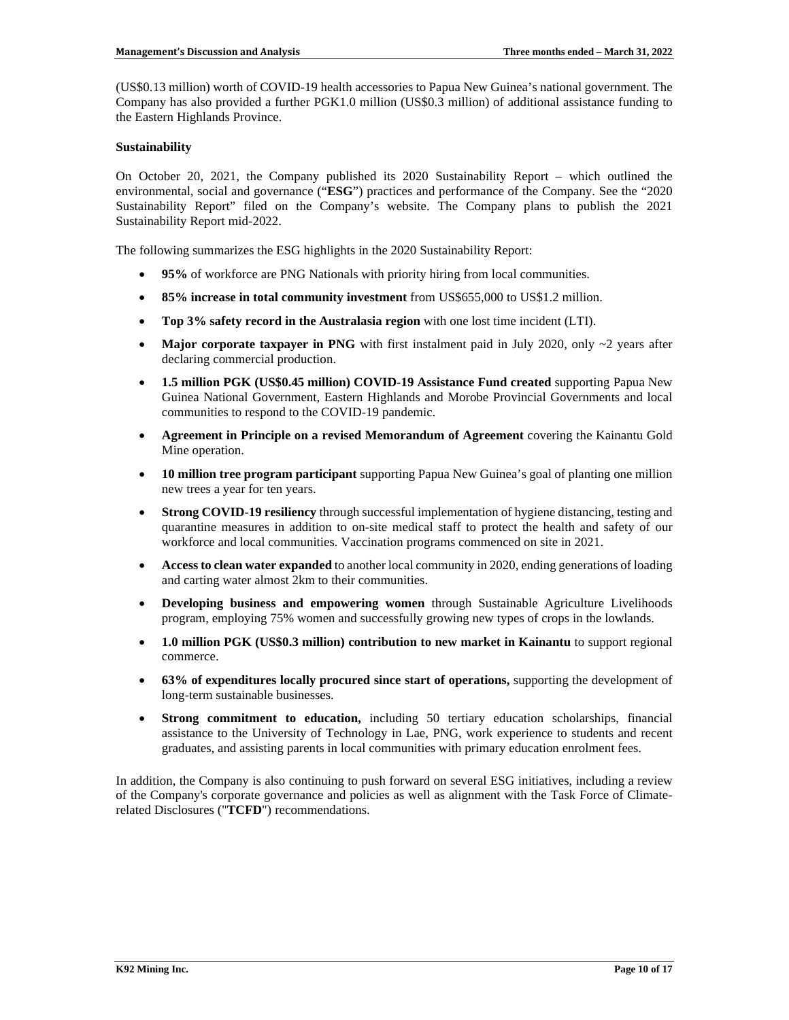(US\$0.13 million) worth of COVID-19 health accessories to Papua New Guinea's national government. The Company has also provided a further PGK1.0 million (US\$0.3 million) of additional assistance funding to the Eastern Highlands Province.

## **Sustainability**

On October 20, 2021, the Company published its 2020 Sustainability Report – which outlined the environmental, social and governance ("**ESG**") practices and performance of the Company. See the "2020 Sustainability Report" filed on the Company's website. The Company plans to publish the 2021 Sustainability Report mid-2022.

The following summarizes the ESG highlights in the 2020 Sustainability Report:

- **95%** of workforce are PNG Nationals with priority hiring from local communities.
- **85% increase in total community investment** from US\$655,000 to US\$1.2 million.
- **Top 3% safety record in the Australasia region** with one lost time incident (LTI).
- Major corporate taxpayer in PNG with first instalment paid in July 2020, only ~2 years after declaring commercial production.
- **1.5 million PGK (US\$0.45 million) COVID-19 Assistance Fund created** supporting Papua New Guinea National Government, Eastern Highlands and Morobe Provincial Governments and local communities to respond to the COVID-19 pandemic.
- **Agreement in Principle on a revised Memorandum of Agreement** covering the Kainantu Gold Mine operation.
- **10 million tree program participant** supporting Papua New Guinea's goal of planting one million new trees a year for ten years.
- **Strong COVID-19 resiliency** through successful implementation of hygiene distancing, testing and quarantine measures in addition to on-site medical staff to protect the health and safety of our workforce and local communities. Vaccination programs commenced on site in 2021.
- **Access to clean water expanded** to another local community in 2020, ending generations of loading and carting water almost 2km to their communities.
- **Developing business and empowering women** through Sustainable Agriculture Livelihoods program, employing 75% women and successfully growing new types of crops in the lowlands.
- **1.0 million PGK (US\$0.3 million) contribution to new market in Kainantu** to support regional commerce.
- **63% of expenditures locally procured since start of operations,** supporting the development of long-term sustainable businesses.
- **Strong commitment to education,** including 50 tertiary education scholarships, financial assistance to the University of Technology in Lae, PNG, work experience to students and recent graduates, and assisting parents in local communities with primary education enrolment fees.

In addition, the Company is also continuing to push forward on several ESG initiatives, including a review of the Company's corporate governance and policies as well as alignment with the Task Force of Climaterelated Disclosures ("**TCFD**") recommendations.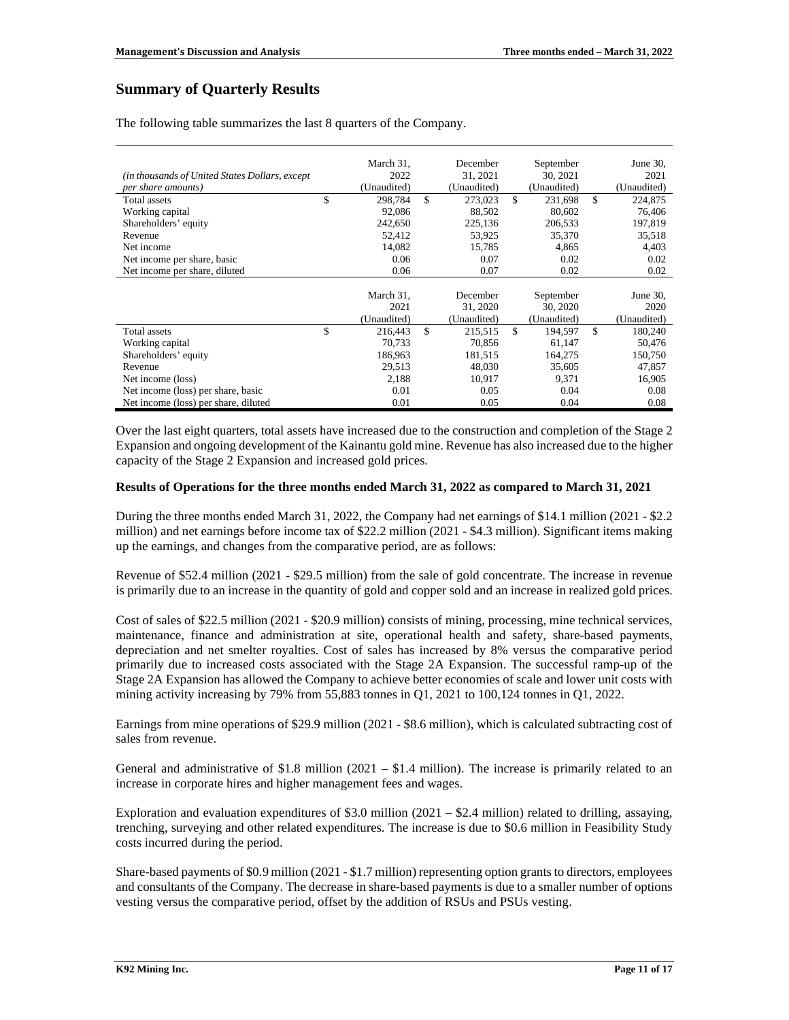# **Summary of Quarterly Results**

The following table summarizes the last 8 quarters of the Company.

|                                                | March 31,     | December      | September     | June $30$ ,   |
|------------------------------------------------|---------------|---------------|---------------|---------------|
|                                                |               |               |               |               |
| (in thousands of United States Dollars, except | 2022          | 31.2021       | 30, 2021      | 2021          |
| <i>per share amounts</i> )                     | (Unaudited)   | (Unaudited)   | (Unaudited)   | (Unaudited)   |
| Total assets                                   | \$<br>298,784 | \$<br>273,023 | \$<br>231,698 | \$<br>224,875 |
| Working capital                                | 92,086        | 88,502        | 80,602        | 76,406        |
| Shareholders' equity                           | 242,650       | 225,136       | 206,533       | 197,819       |
| Revenue                                        | 52,412        | 53,925        | 35,370        | 35,518        |
| Net income                                     | 14,082        | 15,785        | 4.865         | 4,403         |
| Net income per share, basic                    | 0.06          | 0.07          | 0.02          | 0.02          |
| Net income per share, diluted                  | 0.06          | 0.07          | 0.02          | 0.02          |
|                                                |               |               |               |               |
|                                                | March 31,     | December      | September     | June $30$ ,   |
|                                                | 2021          | 31, 2020      | 30, 2020      | 2020          |
|                                                | (Unaudited)   | (Unaudited)   | (Unaudited)   | (Unaudited)   |
| Total assets                                   | \$<br>216,443 | \$<br>215.515 | \$<br>194,597 | \$<br>180,240 |
| Working capital                                | 70.733        | 70.856        | 61,147        | 50,476        |
| Shareholders' equity                           | 186,963       | 181,515       | 164,275       | 150,750       |
| Revenue                                        | 29,513        | 48,030        | 35,605        | 47,857        |
| Net income (loss)                              | 2,188         | 10,917        | 9.371         | 16,905        |
| Net income (loss) per share, basic             | 0.01          | 0.05          | 0.04          | 0.08          |
| Net income (loss) per share, diluted           | 0.01          | 0.05          | 0.04          | 0.08          |

Over the last eight quarters, total assets have increased due to the construction and completion of the Stage 2 Expansion and ongoing development of the Kainantu gold mine. Revenue has also increased due to the higher capacity of the Stage 2 Expansion and increased gold prices.

### **Results of Operations for the three months ended March 31, 2022 as compared to March 31, 2021**

During the three months ended March 31, 2022, the Company had net earnings of \$14.1 million (2021 - \$2.2 million) and net earnings before income tax of \$22.2 million (2021 - \$4.3 million). Significant items making up the earnings, and changes from the comparative period, are as follows:

Revenue of \$52.4 million (2021 - \$29.5 million) from the sale of gold concentrate. The increase in revenue is primarily due to an increase in the quantity of gold and copper sold and an increase in realized gold prices.

Cost of sales of \$22.5 million (2021 - \$20.9 million) consists of mining, processing, mine technical services, maintenance, finance and administration at site, operational health and safety, share-based payments, depreciation and net smelter royalties. Cost of sales has increased by 8% versus the comparative period primarily due to increased costs associated with the Stage 2A Expansion. The successful ramp-up of the Stage 2A Expansion has allowed the Company to achieve better economies of scale and lower unit costs with mining activity increasing by 79% from 55,883 tonnes in Q1, 2021 to 100,124 tonnes in Q1, 2022.

Earnings from mine operations of \$29.9 million (2021 - \$8.6 million), which is calculated subtracting cost of sales from revenue.

General and administrative of \$1.8 million (2021 – \$1.4 million). The increase is primarily related to an increase in corporate hires and higher management fees and wages.

Exploration and evaluation expenditures of \$3.0 million  $(2021 - $2.4$  million) related to drilling, assaying, trenching, surveying and other related expenditures. The increase is due to \$0.6 million in Feasibility Study costs incurred during the period.

Share-based payments of \$0.9 million (2021 - \$1.7 million) representing option grants to directors, employees and consultants of the Company. The decrease in share-based payments is due to a smaller number of options vesting versus the comparative period, offset by the addition of RSUs and PSUs vesting.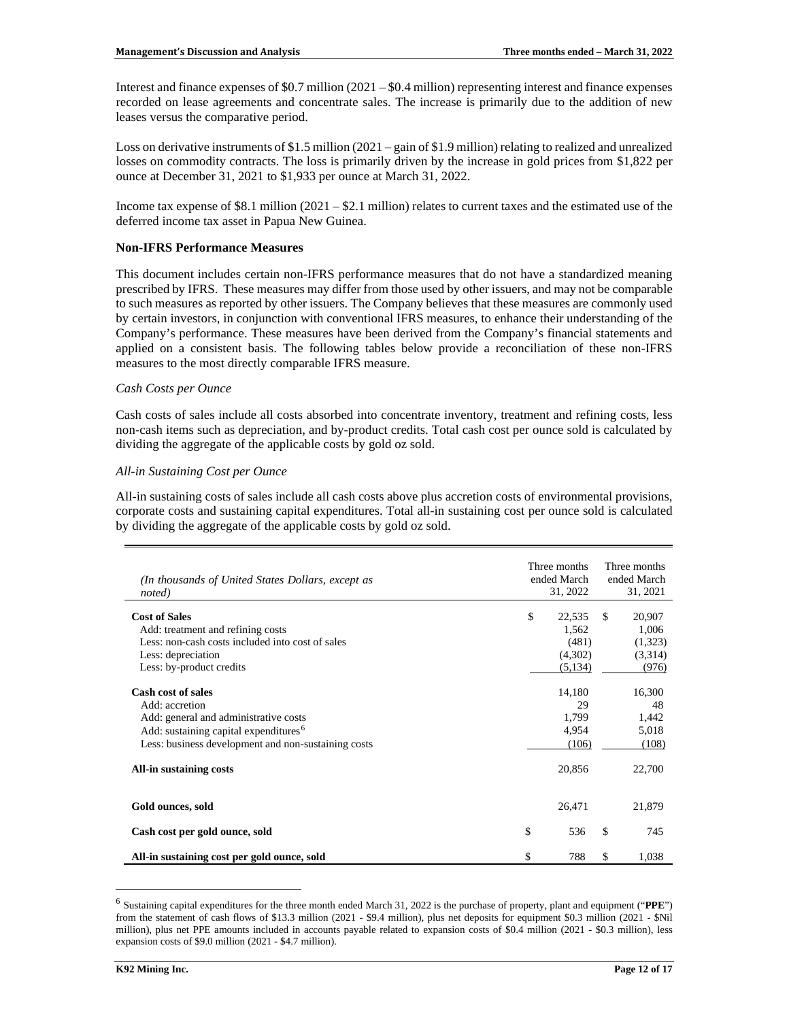Interest and finance expenses of \$0.7 million (2021 – \$0.4 million) representing interest and finance expenses recorded on lease agreements and concentrate sales. The increase is primarily due to the addition of new leases versus the comparative period.

Loss on derivative instruments of \$1.5 million (2021 – gain of \$1.9 million) relating to realized and unrealized losses on commodity contracts. The loss is primarily driven by the increase in gold prices from \$1,822 per ounce at December 31, 2021 to \$1,933 per ounce at March 31, 2022.

Income tax expense of  $$8.1$  million  $(2021 - $2.1$  million) relates to current taxes and the estimated use of the deferred income tax asset in Papua New Guinea.

## **Non-IFRS Performance Measures**

This document includes certain non-IFRS performance measures that do not have a standardized meaning prescribed by IFRS. These measures may differ from those used by other issuers, and may not be comparable to such measures as reported by other issuers. The Company believes that these measures are commonly used by certain investors, in conjunction with conventional IFRS measures, to enhance their understanding of the Company's performance. These measures have been derived from the Company's financial statements and applied on a consistent basis. The following tables below provide a reconciliation of these non-IFRS measures to the most directly comparable IFRS measure.

### *Cash Costs per Ounce*

Cash costs of sales include all costs absorbed into concentrate inventory, treatment and refining costs, less non-cash items such as depreciation, and by-product credits. Total cash cost per ounce sold is calculated by dividing the aggregate of the applicable costs by gold oz sold.

### *All-in Sustaining Cost per Ounce*

All-in sustaining costs of sales include all cash costs above plus accretion costs of environmental provisions, corporate costs and sustaining capital expenditures. Total all-in sustaining cost per ounce sold is calculated by dividing the aggregate of the applicable costs by gold oz sold.

| (In thousands of United States Dollars, except as<br>noted)                                                                                                                                                                        | Three months<br>ended March<br>31, 2022 |                                                   |    | Three months<br>ended March<br>31, 2021           |  |  |
|------------------------------------------------------------------------------------------------------------------------------------------------------------------------------------------------------------------------------------|-----------------------------------------|---------------------------------------------------|----|---------------------------------------------------|--|--|
| <b>Cost of Sales</b><br>Add: treatment and refining costs<br>Less: non-cash costs included into cost of sales                                                                                                                      | \$                                      | 22,535<br>1,562<br>(481)                          | \$ | 20,907<br>1,006<br>(1,323)                        |  |  |
| Less: depreciation<br>Less: by-product credits                                                                                                                                                                                     |                                         | (4,302)<br>(5,134)                                |    | (3,314)<br>(976)                                  |  |  |
| <b>Cash cost of sales</b><br>Add: accretion<br>Add: general and administrative costs<br>Add: sustaining capital expenditures <sup>6</sup><br>Less: business development and non-sustaining costs<br><b>All-in sustaining costs</b> |                                         | 14,180<br>29<br>1,799<br>4,954<br>(106)<br>20,856 |    | 16,300<br>48<br>1,442<br>5,018<br>(108)<br>22,700 |  |  |
| Gold ounces, sold                                                                                                                                                                                                                  |                                         | 26,471                                            |    | 21,879                                            |  |  |
| Cash cost per gold ounce, sold                                                                                                                                                                                                     | \$                                      | 536                                               | \$ | 745                                               |  |  |
| All-in sustaining cost per gold ounce, sold                                                                                                                                                                                        | \$                                      | 788                                               | \$ | 1,038                                             |  |  |

<span id="page-11-0"></span><sup>6</sup> Sustaining capital expenditures for the three month ended March 31, 2022 is the purchase of property, plant and equipment ("**PPE**") from the statement of cash flows of \$13.3 million (2021 - \$9.4 million), plus net deposits for equipment \$0.3 million (2021 - \$Nil million), plus net PPE amounts included in accounts payable related to expansion costs of \$0.4 million (2021 - \$0.3 million), less expansion costs of \$9.0 million (2021 - \$4.7 million).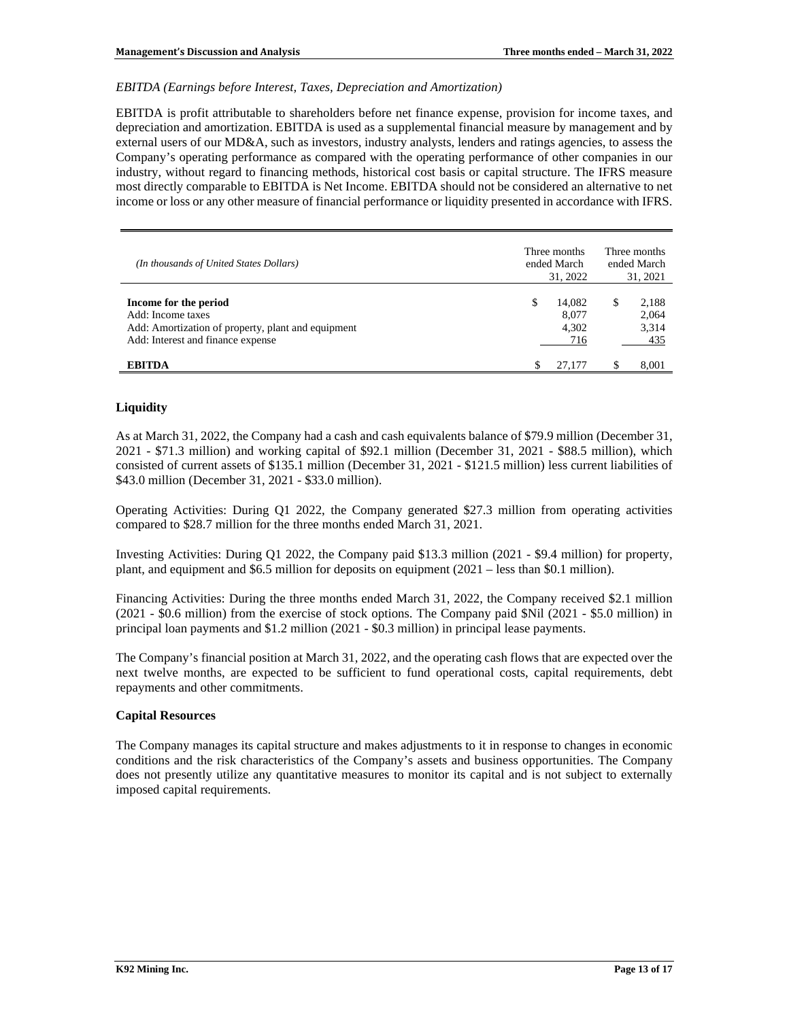### *EBITDA (Earnings before Interest, Taxes, Depreciation and Amortization)*

EBITDA is profit attributable to shareholders before net finance expense, provision for income taxes, and depreciation and amortization. EBITDA is used as a supplemental financial measure by management and by external users of our MD&A, such as investors, industry analysts, lenders and ratings agencies, to assess the Company's operating performance as compared with the operating performance of other companies in our industry, without regard to financing methods, historical cost basis or capital structure. The IFRS measure most directly comparable to EBITDA is Net Income. EBITDA should not be considered an alternative to net income or loss or any other measure of financial performance or liquidity presented in accordance with IFRS.

| (In thousands of United States Dollars)                                                                                               | Three months<br>ended March<br>31, 2022 | Three months<br>ended March<br>31, 2021 |  |  |
|---------------------------------------------------------------------------------------------------------------------------------------|-----------------------------------------|-----------------------------------------|--|--|
| Income for the period<br>Add: Income taxes<br>Add: Amortization of property, plant and equipment<br>Add: Interest and finance expense | \$<br>14.082<br>8.077<br>4.302<br>716   | 2,188<br>S<br>2,064<br>3,314<br>435     |  |  |
| <b>EBITDA</b>                                                                                                                         | 27,177                                  | 8.001                                   |  |  |

## **Liquidity**

As at March 31, 2022, the Company had a cash and cash equivalents balance of \$79.9 million (December 31, 2021 - \$71.3 million) and working capital of \$92.1 million (December 31, 2021 - \$88.5 million), which consisted of current assets of \$135.1 million (December 31, 2021 - \$121.5 million) less current liabilities of \$43.0 million (December 31, 2021 - \$33.0 million).

Operating Activities: During Q1 2022, the Company generated \$27.3 million from operating activities compared to \$28.7 million for the three months ended March 31, 2021.

Investing Activities: During Q1 2022, the Company paid \$13.3 million (2021 - \$9.4 million) for property, plant, and equipment and \$6.5 million for deposits on equipment (2021 – less than \$0.1 million).

Financing Activities: During the three months ended March 31, 2022, the Company received \$2.1 million (2021 - \$0.6 million) from the exercise of stock options. The Company paid \$Nil (2021 - \$5.0 million) in principal loan payments and \$1.2 million (2021 - \$0.3 million) in principal lease payments.

The Company's financial position at March 31, 2022, and the operating cash flows that are expected over the next twelve months, are expected to be sufficient to fund operational costs, capital requirements, debt repayments and other commitments.

### **Capital Resources**

The Company manages its capital structure and makes adjustments to it in response to changes in economic conditions and the risk characteristics of the Company's assets and business opportunities. The Company does not presently utilize any quantitative measures to monitor its capital and is not subject to externally imposed capital requirements.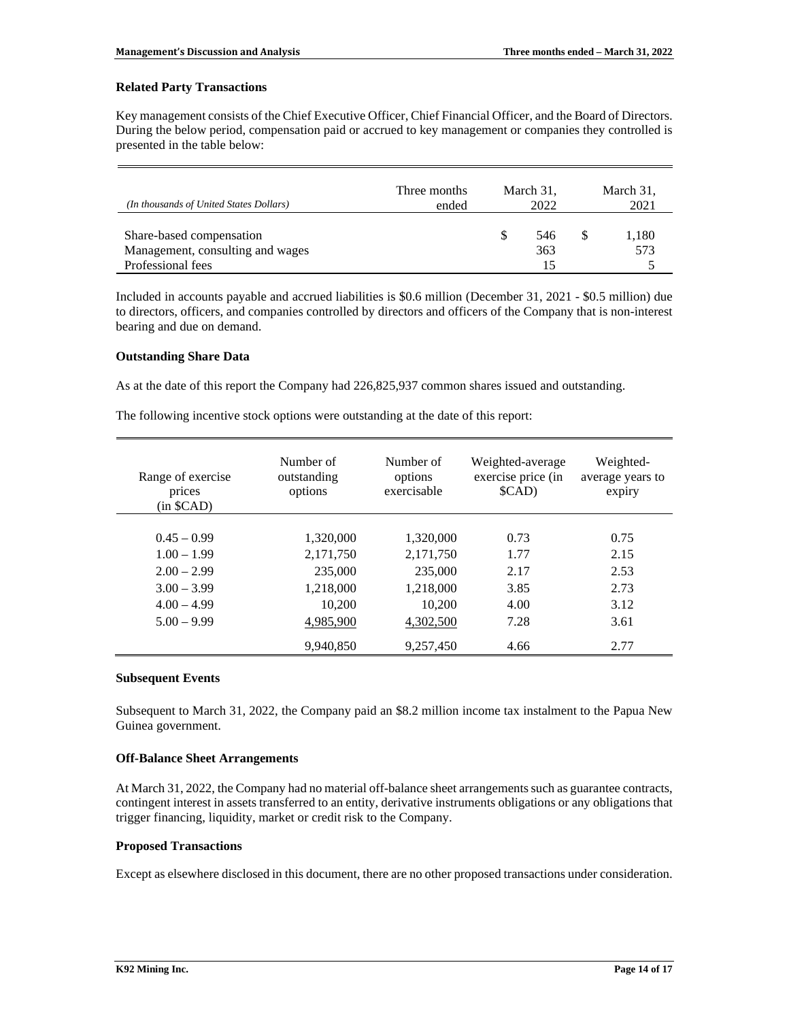### **Related Party Transactions**

Key management consists of the Chief Executive Officer, Chief Financial Officer, and the Board of Directors. During the below period, compensation paid or accrued to key management or companies they controlled is presented in the table below:

| (In thousands of United States Dollars)                      | Three months<br>ended | March 31,<br>2022 | March 31,<br>2021 |              |
|--------------------------------------------------------------|-----------------------|-------------------|-------------------|--------------|
| Share-based compensation<br>Management, consulting and wages |                       | S                 | 546<br>363        | 1,180<br>573 |
| Professional fees                                            |                       |                   | 15                |              |

Included in accounts payable and accrued liabilities is \$0.6 million (December 31, 2021 - \$0.5 million) due to directors, officers, and companies controlled by directors and officers of the Company that is non-interest bearing and due on demand.

### **Outstanding Share Data**

As at the date of this report the Company had 226,825,937 common shares issued and outstanding.

The following incentive stock options were outstanding at the date of this report:

| Range of exercise<br>prices<br>(in \$CAD) | Number of<br>outstanding<br>options | Number of<br>options<br>exercisable | Weighted-average<br>exercise price (in<br>\$CAD) | Weighted-<br>average years to<br>expiry |
|-------------------------------------------|-------------------------------------|-------------------------------------|--------------------------------------------------|-----------------------------------------|
|                                           |                                     |                                     |                                                  |                                         |
| $0.45 - 0.99$                             | 1,320,000                           | 1,320,000                           | 0.73                                             | 0.75                                    |
| $1.00 - 1.99$                             | 2,171,750                           | 2,171,750                           | 1.77                                             | 2.15                                    |
| $2.00 - 2.99$                             | 235,000                             | 235,000                             | 2.17                                             | 2.53                                    |
| $3.00 - 3.99$                             | 1,218,000                           | 1,218,000                           | 3.85                                             | 2.73                                    |
| $4.00 - 4.99$                             | 10,200                              | 10.200                              | 4.00                                             | 3.12                                    |
| $5.00 - 9.99$                             | 4.985.900                           | 4,302,500                           | 7.28                                             | 3.61                                    |
|                                           | 9,940,850                           | 9,257,450                           | 4.66                                             | 2.77                                    |

### **Subsequent Events**

Subsequent to March 31, 2022, the Company paid an \$8.2 million income tax instalment to the Papua New Guinea government.

## **Off-Balance Sheet Arrangements**

At March 31, 2022, the Company had no material off-balance sheet arrangements such as guarantee contracts, contingent interest in assets transferred to an entity, derivative instruments obligations or any obligations that trigger financing, liquidity, market or credit risk to the Company.

### **Proposed Transactions**

Except as elsewhere disclosed in this document, there are no other proposed transactions under consideration.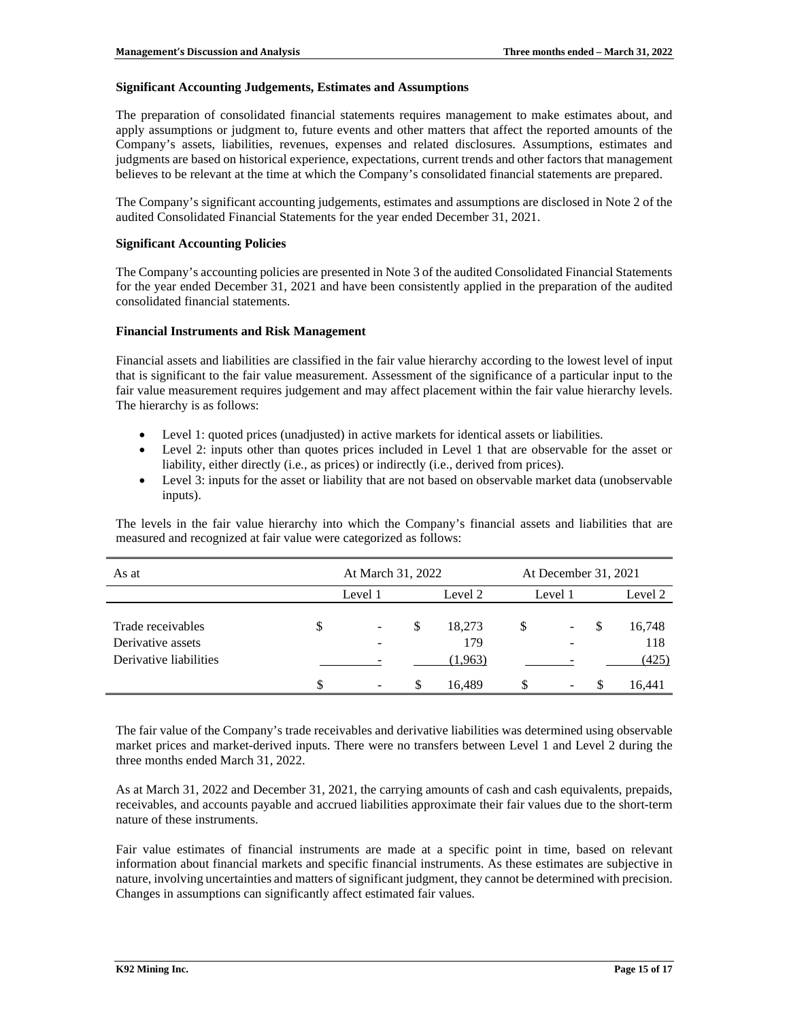### **Significant Accounting Judgements, Estimates and Assumptions**

The preparation of consolidated financial statements requires management to make estimates about, and apply assumptions or judgment to, future events and other matters that affect the reported amounts of the Company's assets, liabilities, revenues, expenses and related disclosures. Assumptions, estimates and judgments are based on historical experience, expectations, current trends and other factors that management believes to be relevant at the time at which the Company's consolidated financial statements are prepared.

The Company's significant accounting judgements, estimates and assumptions are disclosed in Note 2 of the audited Consolidated Financial Statements for the year ended December 31, 2021.

### **Significant Accounting Policies**

The Company's accounting policies are presented in Note 3 of the audited Consolidated Financial Statements for the year ended December 31, 2021 and have been consistently applied in the preparation of the audited consolidated financial statements.

### **Financial Instruments and Risk Management**

Financial assets and liabilities are classified in the fair value hierarchy according to the lowest level of input that is significant to the fair value measurement. Assessment of the significance of a particular input to the fair value measurement requires judgement and may affect placement within the fair value hierarchy levels. The hierarchy is as follows:

- Level 1: quoted prices (unadjusted) in active markets for identical assets or liabilities.
- Level 2: inputs other than quotes prices included in Level 1 that are observable for the asset or liability, either directly (i.e., as prices) or indirectly (i.e., derived from prices).
- Level 3: inputs for the asset or liability that are not based on observable market data (unobservable inputs).

The levels in the fair value hierarchy into which the Company's financial assets and liabilities that are measured and recognized at fair value were categorized as follows:

| As at                                                            | At March 31, 2022 |         |         | At December 31, 2021     |         |                          |    |                        |
|------------------------------------------------------------------|-------------------|---------|---------|--------------------------|---------|--------------------------|----|------------------------|
|                                                                  |                   | Level 1 | Level 2 |                          | Level 1 |                          |    | Level 2                |
| Trade receivables<br>Derivative assets<br>Derivative liabilities | \$                |         | S       | 18,273<br>179<br>(1,963) | \$      | -                        | \$ | 16,748<br>118<br>(425) |
|                                                                  | \$                |         | \$.     | 16.489                   |         | $\overline{\phantom{a}}$ | -8 | 16.441                 |

The fair value of the Company's trade receivables and derivative liabilities was determined using observable market prices and market-derived inputs. There were no transfers between Level 1 and Level 2 during the three months ended March 31, 2022.

As at March 31, 2022 and December 31, 2021, the carrying amounts of cash and cash equivalents, prepaids, receivables, and accounts payable and accrued liabilities approximate their fair values due to the short-term nature of these instruments.

Fair value estimates of financial instruments are made at a specific point in time, based on relevant information about financial markets and specific financial instruments. As these estimates are subjective in nature, involving uncertainties and matters of significant judgment, they cannot be determined with precision. Changes in assumptions can significantly affect estimated fair values.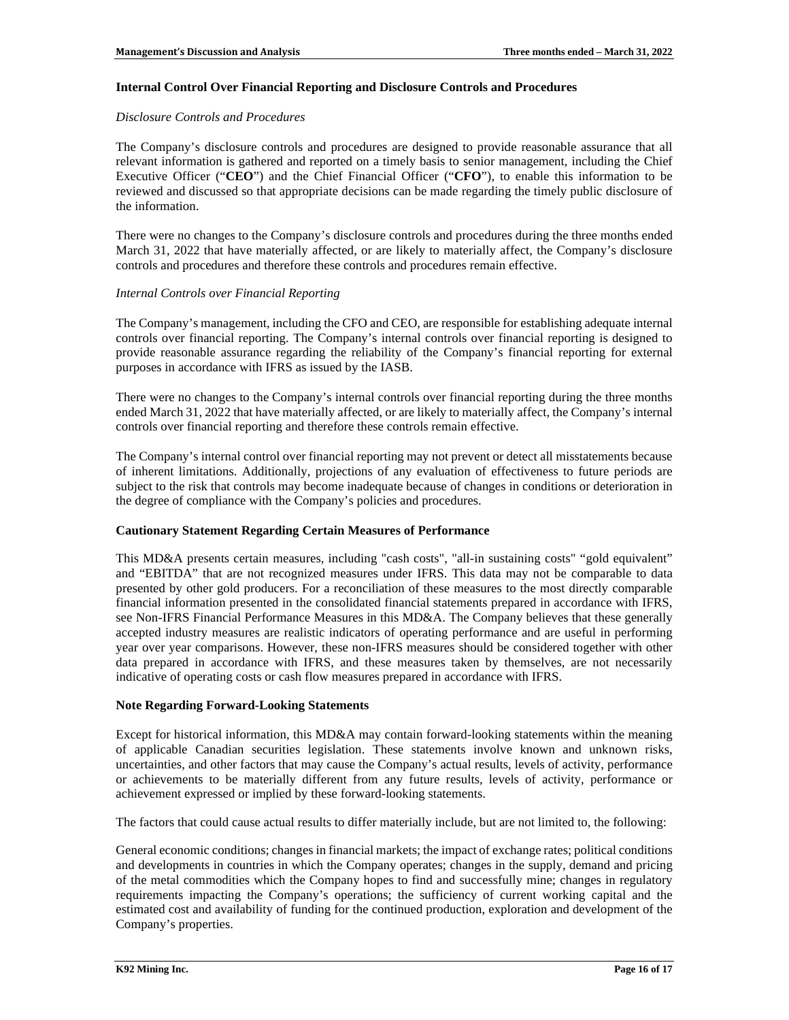### **Internal Control Over Financial Reporting and Disclosure Controls and Procedures**

### *Disclosure Controls and Procedures*

The Company's disclosure controls and procedures are designed to provide reasonable assurance that all relevant information is gathered and reported on a timely basis to senior management, including the Chief Executive Officer ("**CEO**") and the Chief Financial Officer ("**CFO**"), to enable this information to be reviewed and discussed so that appropriate decisions can be made regarding the timely public disclosure of the information.

There were no changes to the Company's disclosure controls and procedures during the three months ended March 31, 2022 that have materially affected, or are likely to materially affect, the Company's disclosure controls and procedures and therefore these controls and procedures remain effective.

### *Internal Controls over Financial Reporting*

The Company's management, including the CFO and CEO, are responsible for establishing adequate internal controls over financial reporting. The Company's internal controls over financial reporting is designed to provide reasonable assurance regarding the reliability of the Company's financial reporting for external purposes in accordance with IFRS as issued by the IASB.

There were no changes to the Company's internal controls over financial reporting during the three months ended March 31, 2022 that have materially affected, or are likely to materially affect, the Company's internal controls over financial reporting and therefore these controls remain effective.

The Company's internal control over financial reporting may not prevent or detect all misstatements because of inherent limitations. Additionally, projections of any evaluation of effectiveness to future periods are subject to the risk that controls may become inadequate because of changes in conditions or deterioration in the degree of compliance with the Company's policies and procedures.

### **Cautionary Statement Regarding Certain Measures of Performance**

This MD&A presents certain measures, including "cash costs", "all-in sustaining costs" "gold equivalent" and "EBITDA" that are not recognized measures under IFRS. This data may not be comparable to data presented by other gold producers. For a reconciliation of these measures to the most directly comparable financial information presented in the consolidated financial statements prepared in accordance with IFRS, see Non-IFRS Financial Performance Measures in this MD&A. The Company believes that these generally accepted industry measures are realistic indicators of operating performance and are useful in performing year over year comparisons. However, these non-IFRS measures should be considered together with other data prepared in accordance with IFRS, and these measures taken by themselves, are not necessarily indicative of operating costs or cash flow measures prepared in accordance with IFRS.

### **Note Regarding Forward-Looking Statements**

Except for historical information, this MD&A may contain forward-looking statements within the meaning of applicable Canadian securities legislation. These statements involve known and unknown risks, uncertainties, and other factors that may cause the Company's actual results, levels of activity, performance or achievements to be materially different from any future results, levels of activity, performance or achievement expressed or implied by these forward-looking statements.

The factors that could cause actual results to differ materially include, but are not limited to, the following:

General economic conditions; changes in financial markets; the impact of exchange rates; political conditions and developments in countries in which the Company operates; changes in the supply, demand and pricing of the metal commodities which the Company hopes to find and successfully mine; changes in regulatory requirements impacting the Company's operations; the sufficiency of current working capital and the estimated cost and availability of funding for the continued production, exploration and development of the Company's properties.